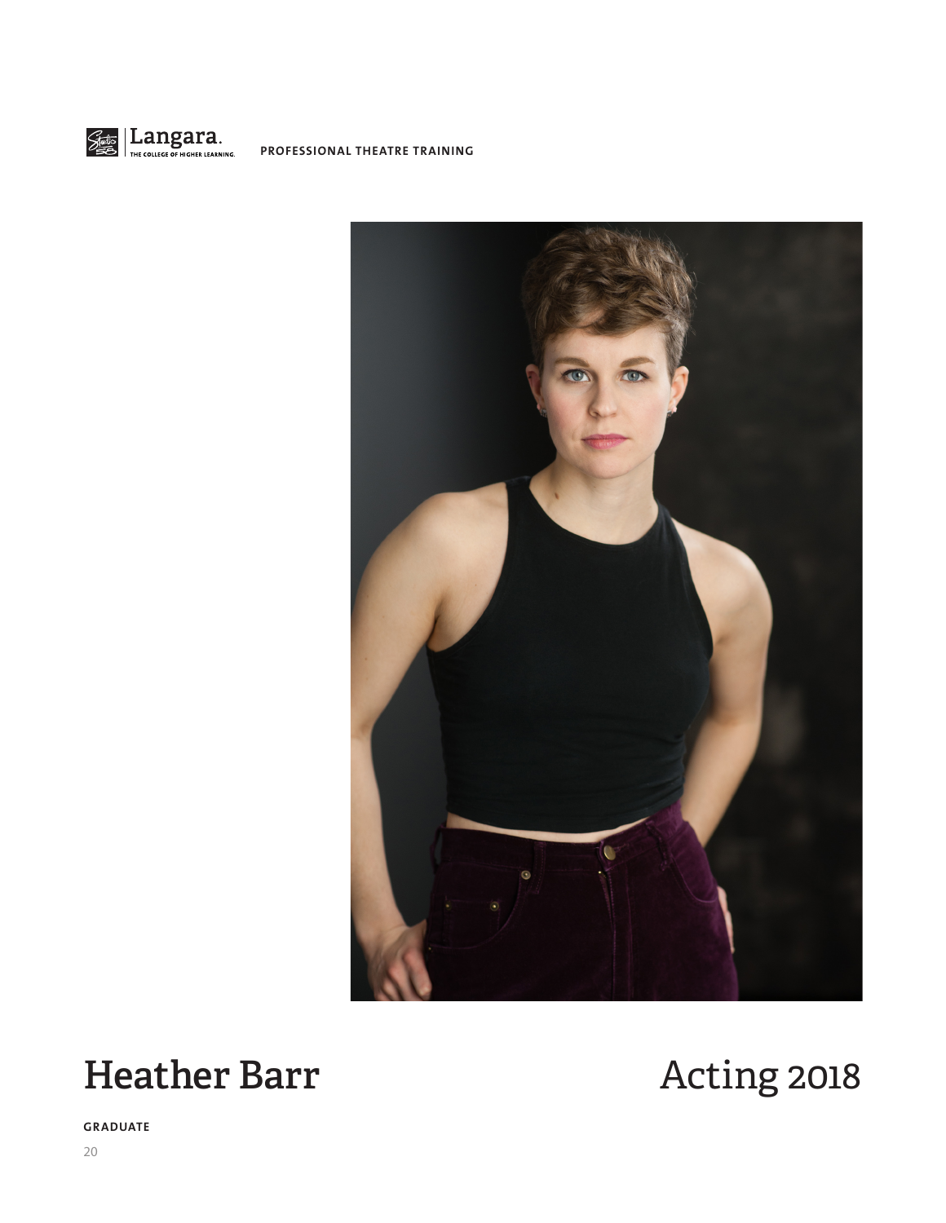



# Heather Barr **Acting 2018**

**GRADUATE**